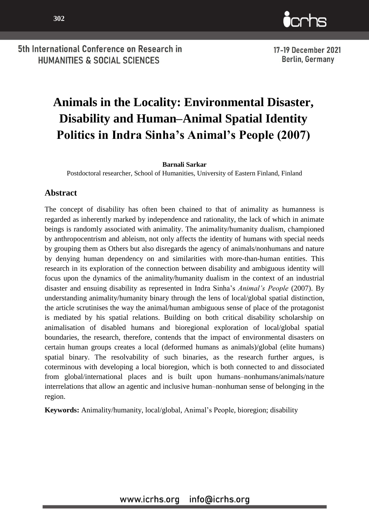

17-19 December 2021 **Berlin, Germany** 

# **Animals in the Locality: Environmental Disaster, Disability and Human–Animal Spatial Identity Politics in Indra Sinha's Animal's People (2007)**

#### **Barnali Sarkar**

Postdoctoral researcher, School of Humanities, University of Eastern Finland, Finland

#### **Abstract**

The concept of disability has often been chained to that of animality as humanness is regarded as inherently marked by independence and rationality, the lack of which in animate beings is randomly associated with animality. The animality/humanity dualism, championed by anthropocentrism and ableism, not only affects the identity of humans with special needs by grouping them as Others but also disregards the agency of animals/nonhumans and nature by denying human dependency on and similarities with more-than-human entities. This research in its exploration of the connection between disability and ambiguous identity will focus upon the dynamics of the animality/humanity dualism in the context of an industrial disaster and ensuing disability as represented in Indra Sinha's *Animal's People* (2007). By understanding animality/humanity binary through the lens of local/global spatial distinction, the article scrutinises the way the animal/human ambiguous sense of place of the protagonist is mediated by his spatial relations. Building on both critical disability scholarship on animalisation of disabled humans and bioregional exploration of local/global spatial boundaries, the research, therefore, contends that the impact of environmental disasters on certain human groups creates a local (deformed humans as animals)/global (elite humans) spatial binary. The resolvability of such binaries, as the research further argues, is coterminous with developing a local bioregion, which is both connected to and dissociated from global/international places and is built upon humans–nonhumans/animals/nature interrelations that allow an agentic and inclusive human–nonhuman sense of belonging in the region.

**Keywords:** Animality/humanity, local/global, Animal's People, bioregion; disability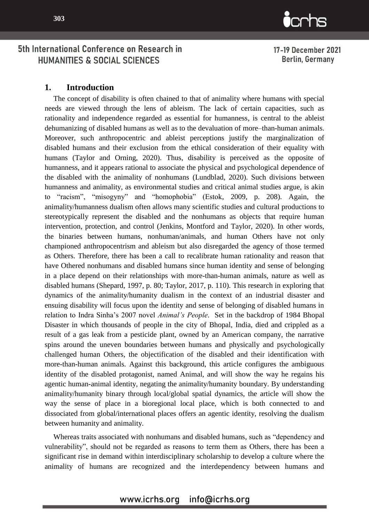

17-19 December 2021 Berlin, Germany

#### **1. Introduction**

The concept of disability is often chained to that of animality where humans with special needs are viewed through the lens of ableism. The lack of certain capacities, such as rationality and independence regarded as essential for humanness, is central to the ableist dehumanizing of disabled humans as well as to the devaluation of more–than-human animals. Moreover, such anthropocentric and ableist perceptions justify the marginalization of disabled humans and their exclusion from the ethical consideration of their equality with humans (Taylor and Orning, 2020). Thus, disability is perceived as the opposite of humanness, and it appears rational to associate the physical and psychological dependence of the disabled with the animality of nonhumans (Lundblad, 2020). Such divisions between humanness and animality, as environmental studies and critical animal studies argue, is akin to "racism", "misogyny" and "homophobia" (Estok, 2009, p. 208). Again, the animality/humanness dualism often allows many scientific studies and cultural productions to stereotypically represent the disabled and the nonhumans as objects that require human intervention, protection, and control (Jenkins, Montford and Taylor, 2020). In other words, the binaries between humans, nonhuman/animals, and human Others have not only championed anthropocentrism and ableism but also disregarded the agency of those termed as Others. Therefore, there has been a call to recalibrate human rationality and reason that have Othered nonhumans and disabled humans since human identity and sense of belonging in a place depend on their relationships with more-than-human animals, nature as well as disabled humans (Shepard, 1997, p. 80; Taylor, 2017, p. 110). This research in exploring that dynamics of the animality/humanity dualism in the context of an industrial disaster and ensuing disability will focus upon the identity and sense of belonging of disabled humans in relation to Indra Sinha's 2007 novel *Animal's People*. Set in the backdrop of 1984 Bhopal Disaster in which thousands of people in the city of Bhopal, India, died and crippled as a result of a gas leak from a pesticide plant, owned by an American company, the narrative spins around the uneven boundaries between humans and physically and psychologically challenged human Others, the objectification of the disabled and their identification with more-than-human animals. Against this background, this article configures the ambiguous identity of the disabled protagonist, named Animal, and will show the way he regains his agentic human-animal identity, negating the animality/humanity boundary. By understanding animality/humanity binary through local/global spatial dynamics, the article will show the way the sense of place in a bioregional local place, which is both connected to and dissociated from global/international places offers an agentic identity, resolving the dualism between humanity and animality.

Whereas traits associated with nonhumans and disabled humans, such as "dependency and vulnerability", should not be regarded as reasons to term them as Others, there has been a significant rise in demand within interdisciplinary scholarship to develop a culture where the animality of humans are recognized and the interdependency between humans and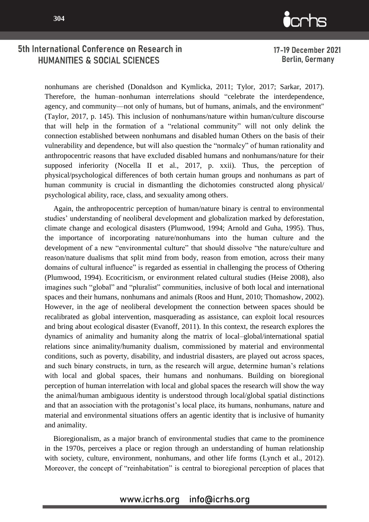

17-19 December 2021 Berlin, Germany

nonhumans are cherished (Donaldson and Kymlicka, 2011; Tylor, 2017; Sarkar, 2017). Therefore, the human–nonhuman interrelations should "celebrate the interdependence, agency, and community—not only of humans, but of humans, animals, and the environment" (Taylor, 2017, p. 145). This inclusion of nonhumans/nature within human/culture discourse that will help in the formation of a "relational community" will not only delink the connection established between nonhumans and disabled human Others on the basis of their vulnerability and dependence, but will also question the "normalcy" of human rationality and anthropocentric reasons that have excluded disabled humans and nonhumans/nature for their supposed inferiority (Nocella II et al., 2017, p. xxii). Thus, the perception of physical/psychological differences of both certain human groups and nonhumans as part of human community is crucial in dismantling the dichotomies constructed along physical/ psychological ability, race, class, and sexuality among others.

Again, the anthropocentric perception of human/nature binary is central to environmental studies' understanding of neoliberal development and globalization marked by deforestation, climate change and ecological disasters (Plumwood, 1994; Arnold and Guha, 1995). Thus, the importance of incorporating nature/nonhumans into the human culture and the development of a new "environmental culture" that should dissolve "the nature/culture and reason/nature dualisms that split mind from body, reason from emotion, across their many domains of cultural influence" is regarded as essential in challenging the process of Othering (Plumwood, 1994). Ecocriticism, or environment related cultural studies (Heise 2008), also imagines such "global" and "pluralist" communities, inclusive of both local and international spaces and their humans, nonhumans and animals (Roos and Hunt, 2010; Thomashow, 2002). However, in the age of neoliberal development the connection between spaces should be recalibrated as global intervention, masquerading as assistance, can exploit local resources and bring about ecological disaster (Evanoff, 2011). In this context, the research explores the dynamics of animality and humanity along the matrix of local–global/international spatial relations since animality/humanity dualism, commissioned by material and environmental conditions, such as poverty, disability, and industrial disasters, are played out across spaces, and such binary constructs, in turn, as the research will argue, determine human's relations with local and global spaces, their humans and nonhumans. Building on bioregional perception of human interrelation with local and global spaces the research will show the way the animal/human ambiguous identity is understood through local/global spatial distinctions and that an association with the protagonist's local place, its humans, nonhumans, nature and material and environmental situations offers an agentic identity that is inclusive of humanity and animality.

Bioregionalism, as a major branch of environmental studies that came to the prominence in the 1970s, perceives a place or region through an understanding of human relationship with society, culture, environment, nonhumans, and other life forms (Lynch et al., 2012). Moreover, the concept of "reinhabitation" is central to bioregional perception of places that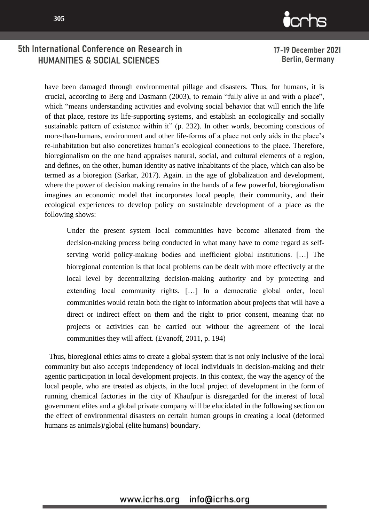

17-19 December 2021 **Berlin, Germany** 

have been damaged through environmental pillage and disasters. Thus, for humans, it is crucial, according to Berg and Dasmann (2003), to remain "fully alive in and with a place", which "means understanding activities and evolving social behavior that will enrich the life of that place, restore its life-supporting systems, and establish an ecologically and socially sustainable pattern of existence within it" (p. 232). In other words, becoming conscious of more-than-humans, environment and other life-forms of a place not only aids in the place's re-inhabitation but also concretizes human's ecological connections to the place. Therefore, bioregionalism on the one hand appraises natural, social, and cultural elements of a region, and defines, on the other, human identity as native inhabitants of the place, which can also be termed as a bioregion (Sarkar, 2017). Again. in the age of globalization and development, where the power of decision making remains in the hands of a few powerful, bioregionalism imagines an economic model that incorporates local people, their community, and their ecological experiences to develop policy on sustainable development of a place as the following shows:

Under the present system local communities have become alienated from the decision-making process being conducted in what many have to come regard as selfserving world policy-making bodies and inefficient global institutions. […] The bioregional contention is that local problems can be dealt with more effectively at the local level by decentralizing decision-making authority and by protecting and extending local community rights. […] In a democratic global order, local communities would retain both the right to information about projects that will have a direct or indirect effect on them and the right to prior consent, meaning that no projects or activities can be carried out without the agreement of the local communities they will affect. (Evanoff, 2011, p. 194)

Thus, bioregional ethics aims to create a global system that is not only inclusive of the local community but also accepts independency of local individuals in decision-making and their agentic participation in local development projects. In this context, the way the agency of the local people, who are treated as objects, in the local project of development in the form of running chemical factories in the city of Khaufpur is disregarded for the interest of local government elites and a global private company will be elucidated in the following section on the effect of environmental disasters on certain human groups in creating a local (deformed humans as animals)/global (elite humans) boundary.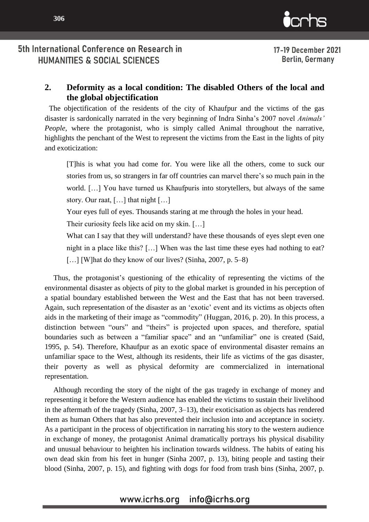17-19 December 2021 Berlin, Germany

# **2. Deformity as a local condition: The disabled Others of the local and the global objectification**

The objectification of the residents of the city of Khaufpur and the victims of the gas disaster is sardonically narrated in the very beginning of Indra Sinha's 2007 novel *Animals' People*, where the protagonist, who is simply called Animal throughout the narrative, highlights the penchant of the West to represent the victims from the East in the lights of pity and exoticization:

[T]his is what you had come for. You were like all the others, come to suck our stories from us, so strangers in far off countries can marvel there's so much pain in the world. […] You have turned us Khaufpuris into storytellers, but always of the same story. Our raat, […] that night […]

Your eyes full of eyes. Thousands staring at me through the holes in your head.

Their curiosity feels like acid on my skin. […]

What can I say that they will understand? have these thousands of eyes slept even one night in a place like this? […] When was the last time these eyes had nothing to eat? [...] [W] hat do they know of our lives? (Sinha, 2007, p. 5–8)

Thus, the protagonist's questioning of the ethicality of representing the victims of the environmental disaster as objects of pity to the global market is grounded in his perception of a spatial boundary established between the West and the East that has not been traversed. Again, such representation of the disaster as an 'exotic' event and its victims as objects often aids in the marketing of their image as "commodity" (Huggan, 2016, p. 20). In this process, a distinction between "ours" and "theirs" is projected upon spaces, and therefore, spatial boundaries such as between a "familiar space" and an "unfamiliar" one is created (Said, 1995, p. 54). Therefore, Khaufpur as an exotic space of environmental disaster remains an unfamiliar space to the West, although its residents, their life as victims of the gas disaster, their poverty as well as physical deformity are commercialized in international representation.

Although recording the story of the night of the gas tragedy in exchange of money and representing it before the Western audience has enabled the victims to sustain their livelihood in the aftermath of the tragedy (Sinha, 2007, 3–13), their exoticisation as objects has rendered them as human Others that has also prevented their inclusion into and acceptance in society. As a participant in the process of objectification in narrating his story to the western audience in exchange of money, the protagonist Animal dramatically portrays his physical disability and unusual behaviour to heighten his inclination towards wildness. The habits of eating his own dead skin from his feet in hunger (Sinha 2007, p. 13), biting people and tasting their blood (Sinha, 2007, p. 15), and fighting with dogs for food from trash bins (Sinha, 2007, p.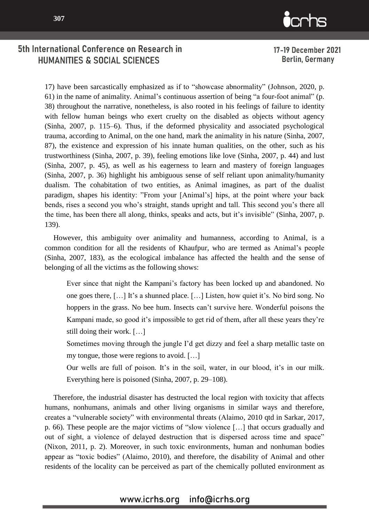

17-19 December 2021 Berlin, Germany

17) have been sarcastically emphasized as if to "showcase abnormality" (Johnson, 2020, p. 61) in the name of animality. Animal's continuous assertion of being "a four-foot animal" (p. 38) throughout the narrative, nonetheless, is also rooted in his feelings of failure to identity with fellow human beings who exert cruelty on the disabled as objects without agency (Sinha, 2007, p. 115–6). Thus, if the deformed physicality and associated psychological trauma, according to Animal, on the one hand, mark the animality in his nature (Sinha, 2007, 87), the existence and expression of his innate human qualities, on the other, such as his trustworthiness (Sinha, 2007, p. 39), feeling emotions like love (Sinha, 2007, p. 44) and lust (Sinha, 2007, p. 45), as well as his eagerness to learn and mastery of foreign languages (Sinha, 2007, p. 36) highlight his ambiguous sense of self reliant upon animality/humanity dualism. The cohabitation of two entities, as Animal imagines, as part of the dualist paradigm, shapes his identity: "From your [Animal's] hips, at the point where your back bends, rises a second you who's straight, stands upright and tall. This second you's there all the time, has been there all along, thinks, speaks and acts, but it's invisible" (Sinha, 2007, p. 139).

However, this ambiguity over animality and humanness, according to Animal, is a common condition for all the residents of Khaufpur, who are termed as Animal's people (Sinha, 2007, 183), as the ecological imbalance has affected the health and the sense of belonging of all the victims as the following shows:

Ever since that night the Kampani's factory has been locked up and abandoned. No one goes there, […] It's a shunned place. […] Listen, how quiet it's. No bird song. No hoppers in the grass. No bee hum. Insects can't survive here. Wonderful poisons the Kampani made, so good it's impossible to get rid of them, after all these years they're still doing their work. […]

Sometimes moving through the jungle I'd get dizzy and feel a sharp metallic taste on my tongue, those were regions to avoid. […]

Our wells are full of poison. It's in the soil, water, in our blood, it's in our milk. Everything here is poisoned (Sinha, 2007, p. 29–108).

Therefore, the industrial disaster has destructed the local region with toxicity that affects humans, nonhumans, animals and other living organisms in similar ways and therefore, creates a "vulnerable society" with environmental threats (Alaimo, 2010 qtd in Sarkar, 2017, p. 66). These people are the major victims of "slow violence […] that occurs gradually and out of sight, a violence of delayed destruction that is dispersed across time and space" (Nixon, 2011, p. 2). Moreover, in such toxic environments, human and nonhuman bodies appear as "toxic bodies" (Alaimo, 2010), and therefore, the disability of Animal and other residents of the locality can be perceived as part of the chemically polluted environment as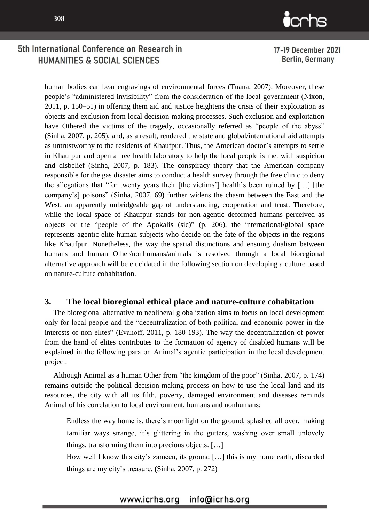

17-19 December 2021 Berlin, Germany

human bodies can bear engravings of environmental forces (Tuana, 2007). Moreover, these people's "administered invisibility" from the consideration of the local government (Nixon, 2011, p. 150–51) in offering them aid and justice heightens the crisis of their exploitation as objects and exclusion from local decision-making processes. Such exclusion and exploitation have Othered the victims of the tragedy, occasionally referred as "people of the abyss" (Sinha, 2007, p. 205), and, as a result, rendered the state and global/international aid attempts as untrustworthy to the residents of Khaufpur. Thus, the American doctor's attempts to settle in Khaufpur and open a free health laboratory to help the local people is met with suspicion and disbelief (Sinha, 2007, p. 183). The conspiracy theory that the American company responsible for the gas disaster aims to conduct a health survey through the free clinic to deny the allegations that "for twenty years their [the victims'] health's been ruined by […] [the company's] poisons" (Sinha, 2007, 69) further widens the chasm between the East and the West, an apparently unbridgeable gap of understanding, cooperation and trust. Therefore, while the local space of Khaufpur stands for non-agentic deformed humans perceived as objects or the "people of the Apokalis (sic)" (p. 206), the international/global space represents agentic elite human subjects who decide on the fate of the objects in the regions like Khaufpur. Nonetheless, the way the spatial distinctions and ensuing dualism between humans and human Other/nonhumans/animals is resolved through a local bioregional alternative approach will be elucidated in the following section on developing a culture based on nature-culture cohabitation.

#### **3. The local bioregional ethical place and nature-culture cohabitation**

The bioregional alternative to neoliberal globalization aims to focus on local development only for local people and the "decentralization of both political and economic power in the interests of non-elites" (Evanoff, 2011, p. 180-193). The way the decentralization of power from the hand of elites contributes to the formation of agency of disabled humans will be explained in the following para on Animal's agentic participation in the local development project.

Although Animal as a human Other from "the kingdom of the poor" (Sinha, 2007, p. 174) remains outside the political decision-making process on how to use the local land and its resources, the city with all its filth, poverty, damaged environment and diseases reminds Animal of his correlation to local environment, humans and nonhumans:

Endless the way home is, there's moonlight on the ground, splashed all over, making familiar ways strange, it's glittering in the gutters, washing over small unlovely things, transforming them into precious objects. […]

How well I know this city's zameen, its ground […] this is my home earth, discarded things are my city's treasure. (Sinha, 2007, p. 272)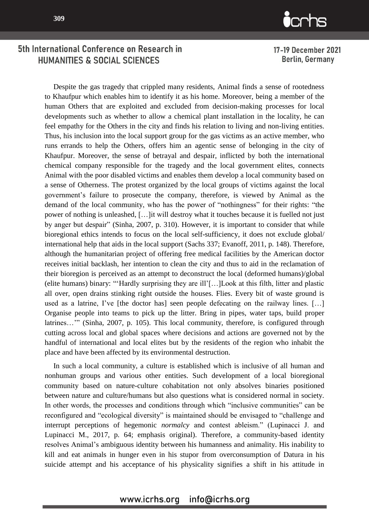

17-19 December 2021 Berlin, Germany

Despite the gas tragedy that crippled many residents, Animal finds a sense of rootedness to Khaufpur which enables him to identify it as his home. Moreover, being a member of the human Others that are exploited and excluded from decision-making processes for local developments such as whether to allow a chemical plant installation in the locality, he can feel empathy for the Others in the city and finds his relation to living and non-living entities. Thus, his inclusion into the local support group for the gas victims as an active member, who runs errands to help the Others, offers him an agentic sense of belonging in the city of Khaufpur. Moreover, the sense of betrayal and despair, inflicted by both the international chemical company responsible for the tragedy and the local government elites, connects Animal with the poor disabled victims and enables them develop a local community based on a sense of Otherness. The protest organized by the local groups of victims against the local government's failure to prosecute the company, therefore, is viewed by Animal as the demand of the local community, who has the power of "nothingness" for their rights: "the power of nothing is unleashed, […]it will destroy what it touches because it is fuelled not just by anger but despair" (Sinha, 2007, p. 310). However, it is important to consider that while bioregional ethics intends to focus on the local self-sufficiency, it does not exclude global/ international help that aids in the local support (Sachs 337; Evanoff, 2011, p. 148). Therefore, although the humanitarian project of offering free medical facilities by the American doctor receives initial backlash, her intention to clean the city and thus to aid in the reclamation of their bioregion is perceived as an attempt to deconstruct the local (deformed humans)/global (elite humans) binary: "'Hardly surprising they are ill'[…]Look at this filth, litter and plastic all over, open drains stinking right outside the houses. Flies. Every bit of waste ground is used as a latrine, I've [the doctor has] seen people defecating on the railway lines. […] Organise people into teams to pick up the litter. Bring in pipes, water taps, build proper latrines…" (Sinha, 2007, p. 105). This local community, therefore, is configured through cutting across local and global spaces where decisions and actions are governed not by the handful of international and local elites but by the residents of the region who inhabit the place and have been affected by its environmental destruction.

In such a local community, a culture is established which is inclusive of all human and nonhuman groups and various other entities. Such development of a local bioregional community based on nature-culture cohabitation not only absolves binaries positioned between nature and culture/humans but also questions what is considered normal in society. In other words, the processes and conditions through which "inclusive communities" can be reconfigured and "ecological diversity" is maintained should be envisaged to "challenge and interrupt perceptions of hegemonic *normalcy* and contest ableism." (Lupinacci J. and Lupinacci M., 2017, p. 64; emphasis original). Therefore, a community-based identity resolves Animal's ambiguous identity between his humanness and animality. His inability to kill and eat animals in hunger even in his stupor from overconsumption of Datura in his suicide attempt and his acceptance of his physicality signifies a shift in his attitude in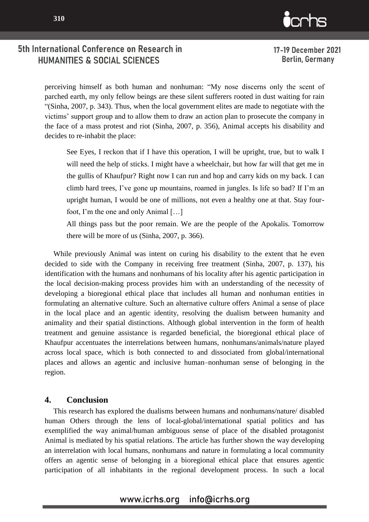

17-19 December 2021 **Berlin, Germany** 

perceiving himself as both human and nonhuman: "My nose discerns only the scent of parched earth, my only fellow beings are these silent sufferers rooted in dust waiting for rain "(Sinha, 2007, p. 343). Thus, when the local government elites are made to negotiate with the victims' support group and to allow them to draw an action plan to prosecute the company in the face of a mass protest and riot (Sinha, 2007, p. 356), Animal accepts his disability and decides to re-inhabit the place:

See Eyes, I reckon that if I have this operation, I will be upright, true, but to walk I will need the help of sticks. I might have a wheelchair, but how far will that get me in the gullis of Khaufpur? Right now I can run and hop and carry kids on my back. I can climb hard trees, I've gone up mountains, roamed in jungles. Is life so bad? If I'm an upright human, I would be one of millions, not even a healthy one at that. Stay fourfoot, I'm the one and only Animal […]

All things pass but the poor remain. We are the people of the Apokalis. Tomorrow there will be more of us (Sinha, 2007, p. 366).

While previously Animal was intent on curing his disability to the extent that he even decided to side with the Company in receiving free treatment (Sinha, 2007, p. 137), his identification with the humans and nonhumans of his locality after his agentic participation in the local decision-making process provides him with an understanding of the necessity of developing a bioregional ethical place that includes all human and nonhuman entities in formulating an alternative culture. Such an alternative culture offers Animal a sense of place in the local place and an agentic identity, resolving the dualism between humanity and animality and their spatial distinctions. Although global intervention in the form of health treatment and genuine assistance is regarded beneficial, the bioregional ethical place of Khaufpur accentuates the interrelations between humans, nonhumans/animals/nature played across local space, which is both connected to and dissociated from global/international places and allows an agentic and inclusive human–nonhuman sense of belonging in the region.

#### **4. Conclusion**

This research has explored the dualisms between humans and nonhumans/nature/ disabled human Others through the lens of local-global/international spatial politics and has exemplified the way animal/human ambiguous sense of place of the disabled protagonist Animal is mediated by his spatial relations. The article has further shown the way developing an interrelation with local humans, nonhumans and nature in formulating a local community offers an agentic sense of belonging in a bioregional ethical place that ensures agentic participation of all inhabitants in the regional development process. In such a local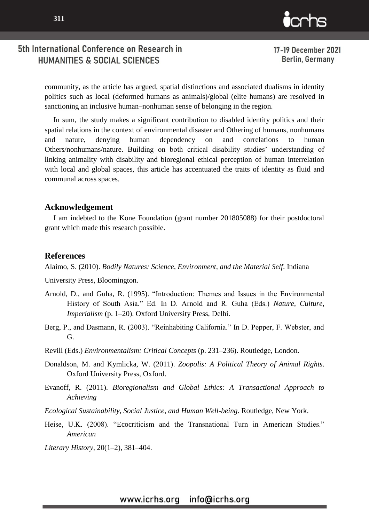

17-19 December 2021 **Berlin, Germany** 

 $\mathbf{C}$ 

community, as the article has argued, spatial distinctions and associated dualisms in identity politics such as local (deformed humans as animals)/global (elite humans) are resolved in sanctioning an inclusive human–nonhuman sense of belonging in the region.

In sum, the study makes a significant contribution to disabled identity politics and their spatial relations in the context of environmental disaster and Othering of humans, nonhumans and nature, denying human dependency on and correlations to human Others/nonhumans/nature. Building on both critical disability studies' understanding of linking animality with disability and bioregional ethical perception of human interrelation with local and global spaces, this article has accentuated the traits of identity as fluid and communal across spaces.

#### **Acknowledgement**

I am indebted to the Kone Foundation (grant number 201805088) for their postdoctoral grant which made this research possible.

#### **References**

Alaimo, S. (2010). *Bodily Natures: Science, Environment, and the Material Self*. Indiana

University Press, Bloomington.

- Arnold, D., and Guha, R. (1995). "Introduction: Themes and Issues in the Environmental History of South Asia." Ed. In D. Arnold and R. Guha (Eds.) *Nature, Culture, Imperialism* (p. 1–20). Oxford University Press, Delhi.
- Berg, P., and Dasmann, R. (2003). "Reinhabiting California." In D. Pepper, F. Webster, and G.
- Revill (Eds.) *Environmentalism: Critical Concepts* (p. 231–236). Routledge, London.
- Donaldson, M. and Kymlicka, W. (2011). *Zoopolis: A Political Theory of Animal Rights*. Oxford University Press, Oxford.
- Evanoff, R. (2011). *Bioregionalism and Global Ethics: A Transactional Approach to Achieving*
- *Ecological Sustainability, Social Justice, and Human Well-being*. Routledge, New York.
- Heise, U.K. (2008). "Ecocriticism and the Transnational Turn in American Studies." *American*

*Literary History,* 20(1–2), 381–404.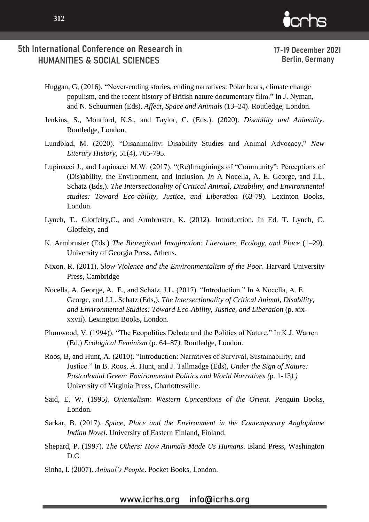

- Huggan, G, (2016). "Never-ending stories, ending narratives: Polar bears, climate change populism, and the recent history of British nature documentary film." In J. Nyman, and N. Schuurman (Eds), *Affect, Space and Animals* (13–24). Routledge, London.
- Jenkins, S., Montford, K.S., and Taylor, C. (Eds.). (2020). *Disability and Animality*. Routledge, London.
- Lundblad, M. (2020). "Disanimality: Disability Studies and Animal Advocacy," *New Literary History*, 51(4), 765-795.
- Lupinacci J., and Lupinacci M.W. (2017). "(Re)Imaginings of "Community": Perceptions of (Dis)ability, the Environment, and Inclusion. *In* A Nocella, A. E. George, and J.L. Schatz (Eds,). *The Intersectionality of Critical Animal, Disability, and Environmental studies: Toward Eco-ability, Justice, and Liberation* (63-79). Lexinton Books, London.
- Lynch, T., Glotfelty,C., and Armbruster, K. (2012). Introduction. In Ed. T. Lynch, C. Glotfelty, and
- K. Armbruster (Eds.) *The Bioregional Imagination: Literature, Ecology, and Place* (1–29). University of Georgia Press, Athens.
- Nixon, R. (2011). *Slow Violence and the Environmentalism of the Poor*. Harvard University Press, Cambridge
- Nocella, A. George, A. E., and Schatz, J.L. (2017). "Introduction." In A Nocella, A. E. George, and J.L. Schatz (Eds,). *The Intersectionality of Critical Animal, Disability, and Environmental Studies: Toward Eco-Ability, Justice, and Liberation* (p. xixxxvii). Lexington Books, London.
- Plumwood, V. (1994)). "The Ecopolitics Debate and the Politics of Nature." In K.J. Warren (Ed.) *Ecological Feminism* (p. 64–87*)*. Routledge, London.
- Roos, B, and Hunt, A. (2010). "Introduction: Narratives of Survival, Sustainability, and Justice." In B. Roos, A. Hunt, and J. Tallmadge (Eds), *Under the Sign of Nature: Postcolonial Green: Environmental Politics and World Narratives (*p. 1-13*).)* University of Virginia Press, Charlottesville.
- Said, E. W. (1995*). Orientalism: Western Conceptions of the Orient*. Penguin Books, London.
- Sarkar, B. (2017). *Space, Place and the Environment in the Contemporary Anglophone Indian Novel*. University of Eastern Finland, Finland.
- Shepard, P. (1997). *The Others: How Animals Made Us Humans*. Island Press, Washington D.C.
- Sinha, I. (2007). *Animal's People*. Pocket Books, London.